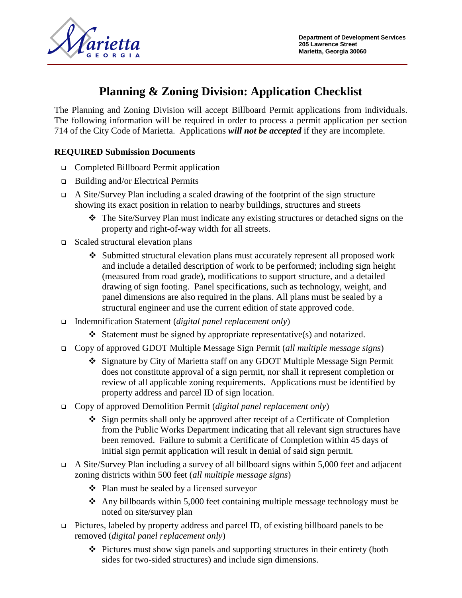



# **Planning & Zoning Division: Application Checklist**

The Planning and Zoning Division will accept Billboard Permit applications from individuals. The following information will be required in order to process a permit application per section 714 of the City Code of Marietta. Applications *will not be accepted* if they are incomplete.

### **REQUIRED Submission Documents**

- Completed Billboard Permit application
- $\Box$  Building and/or Electrical Permits
- A Site/Survey Plan including a scaled drawing of the footprint of the sign structure showing its exact position in relation to nearby buildings, structures and streets
	- The Site/Survey Plan must indicate any existing structures or detached signs on the property and right-of-way width for all streets.
- $\Box$  Scaled structural elevation plans
	- Submitted structural elevation plans must accurately represent all proposed work and include a detailed description of work to be performed; including sign height (measured from road grade), modifications to support structure, and a detailed drawing of sign footing. Panel specifications, such as technology, weight, and panel dimensions are also required in the plans. All plans must be sealed by a structural engineer and use the current edition of state approved code.
- Indemnification Statement (*digital panel replacement only*)
	- $\bullet$  Statement must be signed by appropriate representative(s) and notarized.
- Copy of approved GDOT Multiple Message Sign Permit (*all multiple message signs*)
	- Signature by City of Marietta staff on any GDOT Multiple Message Sign Permit does not constitute approval of a sign permit, nor shall it represent completion or review of all applicable zoning requirements. Applications must be identified by property address and parcel ID of sign location.
- Copy of approved Demolition Permit (*digital panel replacement only*)
	- Sign permits shall only be approved after receipt of a Certificate of Completion from the Public Works Department indicating that all relevant sign structures have been removed. Failure to submit a Certificate of Completion within 45 days of initial sign permit application will result in denial of said sign permit.
- A Site/Survey Plan including a survey of all billboard signs within 5,000 feet and adjacent zoning districts within 500 feet (*all multiple message signs*)
	- **→** Plan must be sealed by a licensed surveyor
	- Any billboards within 5,000 feet containing multiple message technology must be noted on site/survey plan
- Pictures, labeled by property address and parcel ID, of existing billboard panels to be removed (*digital panel replacement only*)
	- $\div$  Pictures must show sign panels and supporting structures in their entirety (both sides for two-sided structures) and include sign dimensions.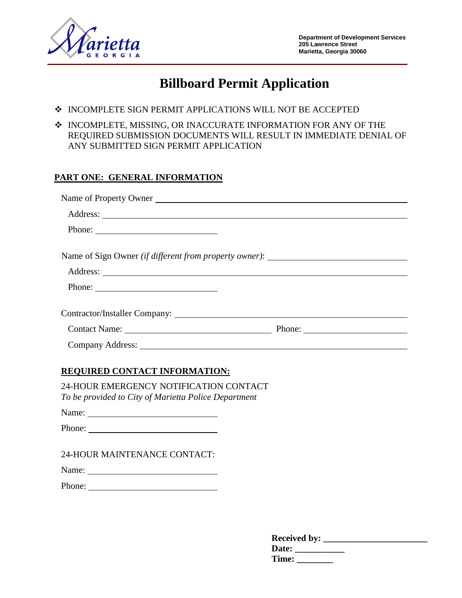

# **Billboard Permit Application**

- INCOMPLETE SIGN PERMIT APPLICATIONS WILL NOT BE ACCEPTED
- $\div$  INCOMPLETE, MISSING, OR INACCURATE INFORMATION FOR ANY OF THE REQUIRED SUBMISSION DOCUMENTS WILL RESULT IN IMMEDIATE DENIAL OF ANY SUBMITTED SIGN PERMIT APPLICATION

#### **PART ONE: GENERAL INFORMATION**

| Name of Property Owner |                                                                                   |
|------------------------|-----------------------------------------------------------------------------------|
|                        |                                                                                   |
|                        |                                                                                   |
|                        | Name of Sign Owner (if different from property owner): __________________________ |
|                        |                                                                                   |
|                        |                                                                                   |
|                        |                                                                                   |
|                        |                                                                                   |
|                        |                                                                                   |

#### **REQUIRED CONTACT INFORMATION:**

24-HOUR EMERGENCY NOTIFICATION CONTACT *To be provided to City of Marietta Police Department*

Name:

Phone:

24-HOUR MAINTENANCE CONTACT:

Name:

Phone:

| <b>Received by:</b> |  |
|---------------------|--|
| Date:               |  |
| <b>Time:</b>        |  |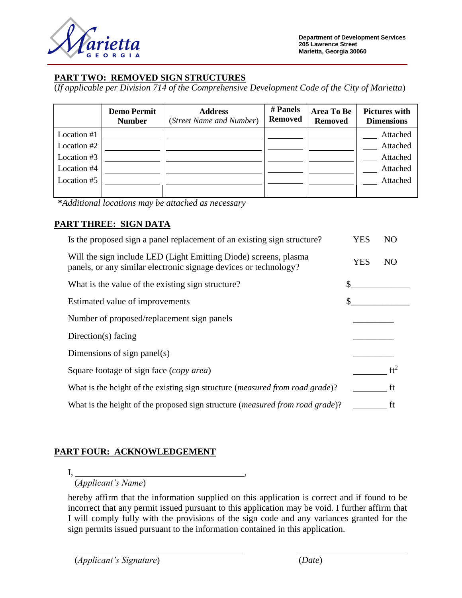

**Department of Development Services 205 Lawrence Street Marietta, Georgia 30060**

#### **PART TWO: REMOVED SIGN STRUCTURES**

(*If applicable per Division 714 of the Comprehensive Development Code of the City of Marietta*)

|             | <b>Demo Permit</b><br><b>Number</b> | <b>Address</b><br>(Street Name and Number) | # Panels<br><b>Removed</b> | Area To Be<br><b>Removed</b> | <b>Pictures with</b><br><b>Dimensions</b> |
|-------------|-------------------------------------|--------------------------------------------|----------------------------|------------------------------|-------------------------------------------|
| Location #1 |                                     |                                            |                            |                              | Attached                                  |
| Location #2 |                                     |                                            |                            |                              | Attached                                  |
| Location #3 |                                     |                                            |                            |                              | Attached                                  |
| Location #4 |                                     |                                            |                            |                              | Attached                                  |
| Location #5 |                                     |                                            |                            |                              | Attached                                  |
|             |                                     |                                            |                            |                              |                                           |

**\****Additional locations may be attached as necessary*

### **PART THREE: SIGN DATA**

| Is the proposed sign a panel replacement of an existing sign structure?                                                              | YES | N <sub>O</sub> |
|--------------------------------------------------------------------------------------------------------------------------------------|-----|----------------|
| Will the sign include LED (Light Emitting Diode) screens, plasma<br>panels, or any similar electronic signage devices or technology? | YES | N <sub>O</sub> |
| What is the value of the existing sign structure?                                                                                    |     |                |
| Estimated value of improvements                                                                                                      |     |                |
| Number of proposed/replacement sign panels                                                                                           |     |                |
| Direction(s) facing                                                                                                                  |     |                |
| Dimensions of sign panel(s)                                                                                                          |     |                |
| Square footage of sign face (copy area)                                                                                              |     |                |
| What is the height of the existing sign structure ( <i>measured from road grade</i> )?                                               |     | ft             |
| What is the height of the proposed sign structure (measured from road grade)?                                                        |     | ft             |

## **PART FOUR: ACKNOWLEDGEMENT**

I, ,

(*Applicant's Name*)

hereby affirm that the information supplied on this application is correct and if found to be incorrect that any permit issued pursuant to this application may be void. I further affirm that I will comply fully with the provisions of the sign code and any variances granted for the sign permits issued pursuant to the information contained in this application.